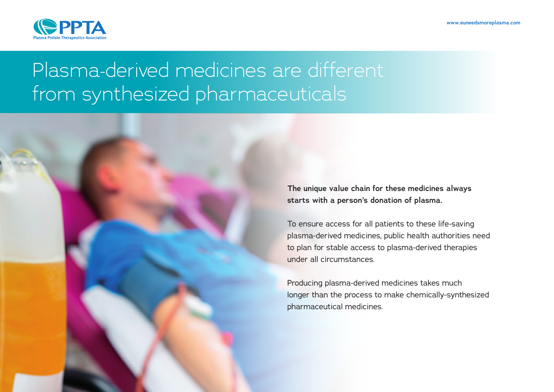

# Plasma-derived medicines are different from synthesized pharmaceuticals

**The unique value chain for these medicines always starts with a person's donation of plasma.** 

To ensure access for all patients to these life-saving plasma-derived medicines, public health authorities need to plan for stable access to plasma-derived therapies under all circumstances.

Producing plasma-derived medicines takes much longer than the process to make chemically-synthesized pharmaceutical medicines.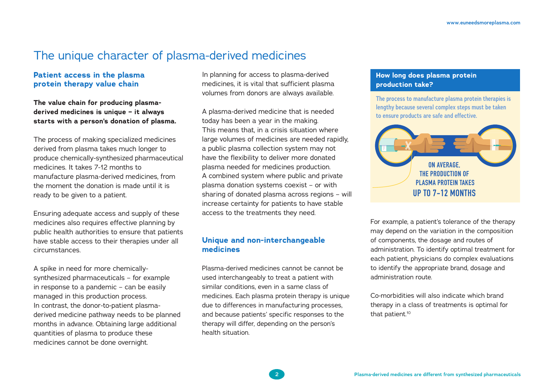## The unique character of plasma-derived medicines

#### **Patient access in the plasma protein therapy value chain**

**The value chain for producing plasmaderived medicines is unique – it always starts with a person's donation of plasma.** 

The process of making specialized medicines derived from plasma takes much longer to produce chemically-synthesized pharmaceutical medicines. It takes 7-12 months to manufacture plasma-derived medicines, from the moment the donation is made until it is ready to be given to a patient.

Ensuring adequate access and supply of these medicines also requires effective planning by public health authorities to ensure that patients have stable access to their therapies under all circumstances.

A spike in need for more chemicallysynthesized pharmaceuticals – for example in response to a pandemic – can be easily managed in this production process. In contrast, the donor-to-patient plasmaderived medicine pathway needs to be planned months in advance. Obtaining large additional quantities of plasma to produce these medicines cannot be done overnight.

In planning for access to plasma-derived medicines, it is vital that sufficient plasma volumes from donors are always available.

A plasma-derived medicine that is needed today has been a year in the making. This means that, in a crisis situation where large volumes of medicines are needed rapidly, a public plasma collection system may not have the flexibility to deliver more donated plasma needed for medicines production. A combined system where public and private plasma donation systems coexist – or with sharing of donated plasma across regions – will increase certainty for patients to have stable access to the treatments they need.

### **Unique and non-interchangeable medicines**

Plasma-derived medicines cannot be cannot be used interchangeably to treat a patient with similar conditions, even in a same class of medicines. Each plasma protein therapy is unique due to differences in manufacturing processes, and because patients' specific responses to the therapy will differ, depending on the person's health situation.

#### **How long does plasma protein production take?**

**The process to manufacture plasma protein therapies is lengthy because several complex steps must be taken to ensure products are safe and effective.**



For example, a patient's tolerance of the therapy may depend on the variation in the composition of components, the dosage and routes of administration. To identify optimal treatment for each patient, physicians do complex evaluations to identify the appropriate brand, dosage and administration route.

Co-morbidities will also indicate which brand therapy in a class of treatments is optimal for that patient.<sup>10</sup>